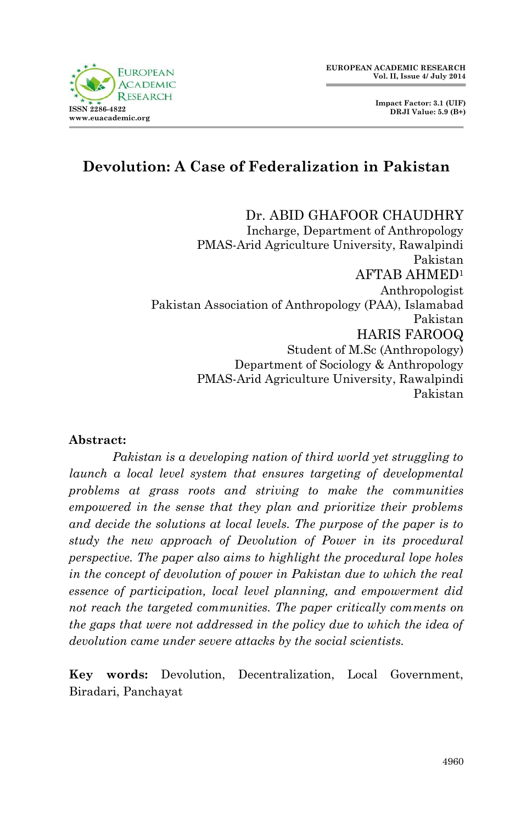#### **EUROPEAN ACADEMIC RESEARCH Vol. II, Issue 4/ July 2014**



Dr. ABID GHAFOOR CHAUDHRY Incharge, Department of Anthropology PMAS-Arid Agriculture University, Rawalpindi Pakistan AFTAB AHMED<sup>1</sup> Anthropologist Pakistan Association of Anthropology (PAA), Islamabad Pakistan HARIS FAROOQ Student of M.Sc (Anthropology) Department of Sociology & Anthropology PMAS-Arid Agriculture University, Rawalpindi Pakistan

#### **Abstract:**

*Pakistan is a developing nation of third world yet struggling to launch a local level system that ensures targeting of developmental problems at grass roots and striving to make the communities empowered in the sense that they plan and prioritize their problems and decide the solutions at local levels. The purpose of the paper is to study the new approach of Devolution of Power in its procedural perspective. The paper also aims to highlight the procedural lope holes in the concept of devolution of power in Pakistan due to which the real essence of participation, local level planning, and empowerment did not reach the targeted communities. The paper critically comments on the gaps that were not addressed in the policy due to which the idea of devolution came under severe attacks by the social scientists.*

**Key words:** Devolution, Decentralization, Local Government, Biradari, Panchayat

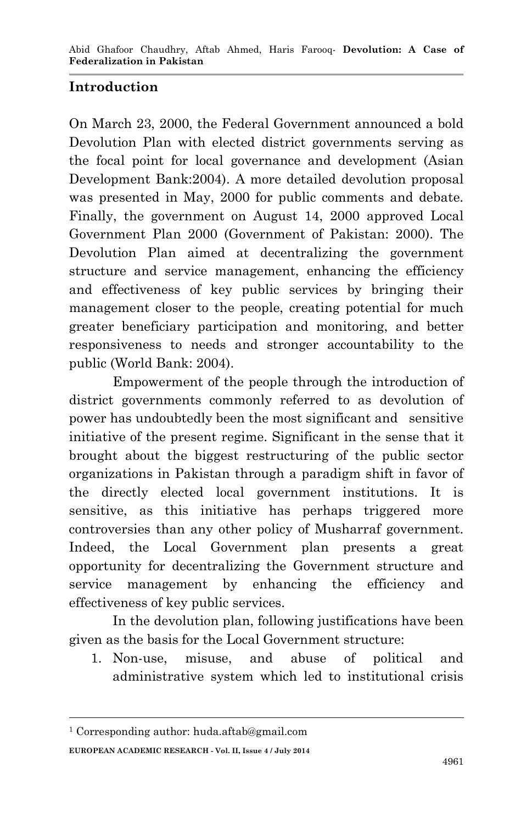## **Introduction**

On March 23, 2000, the Federal Government announced a bold Devolution Plan with elected district governments serving as the focal point for local governance and development (Asian Development Bank:2004). A more detailed devolution proposal was presented in May, 2000 for public comments and debate. Finally, the government on August 14, 2000 approved Local Government Plan 2000 (Government of Pakistan: 2000). The Devolution Plan aimed at decentralizing the government structure and service management, enhancing the efficiency and effectiveness of key public services by bringing their management closer to the people, creating potential for much greater beneficiary participation and monitoring, and better responsiveness to needs and stronger accountability to the public (World Bank: 2004).

Empowerment of the people through the introduction of district governments commonly referred to as devolution of power has undoubtedly been the most significant and sensitive initiative of the present regime. Significant in the sense that it brought about the biggest restructuring of the public sector organizations in Pakistan through a paradigm shift in favor of the directly elected local government institutions. It is sensitive, as this initiative has perhaps triggered more controversies than any other policy of Musharraf government. Indeed, the Local Government plan presents a great opportunity for decentralizing the Government structure and service management by enhancing the efficiency and effectiveness of key public services.

In the devolution plan, following justifications have been given as the basis for the Local Government structure:

1. Non-use, misuse, and abuse of political and administrative system which led to institutional crisis

**.** 

**EUROPEAN ACADEMIC RESEARCH - Vol. II, Issue 4 / July 2014**

<sup>1</sup> Corresponding author: huda.aftab@gmail.com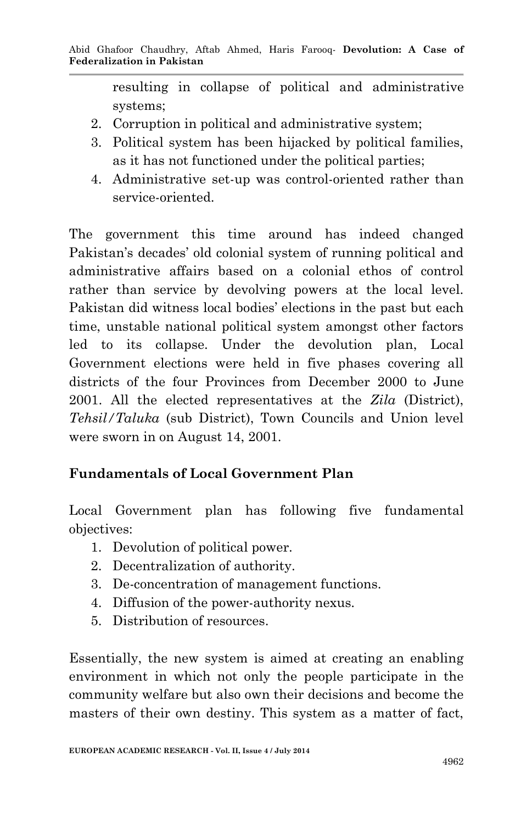resulting in collapse of political and administrative systems;

- 2. Corruption in political and administrative system;
- 3. Political system has been hijacked by political families, as it has not functioned under the political parties;
- 4. Administrative set-up was control-oriented rather than service-oriented.

The government this time around has indeed changed Pakistan's decades' old colonial system of running political and administrative affairs based on a colonial ethos of control rather than service by devolving powers at the local level. Pakistan did witness local bodies' elections in the past but each time, unstable national political system amongst other factors led to its collapse. Under the devolution plan, Local Government elections were held in five phases covering all districts of the four Provinces from December 2000 to June 2001. All the elected representatives at the *Zila* (District), *Tehsil/Taluka* (sub District), Town Councils and Union level were sworn in on August 14, 2001.

# **Fundamentals of Local Government Plan**

Local Government plan has following five fundamental objectives:

- 1. Devolution of political power.
- 2. Decentralization of authority.
- 3. De-concentration of management functions.
- 4. Diffusion of the power-authority nexus.
- 5. Distribution of resources.

Essentially, the new system is aimed at creating an enabling environment in which not only the people participate in the community welfare but also own their decisions and become the masters of their own destiny. This system as a matter of fact,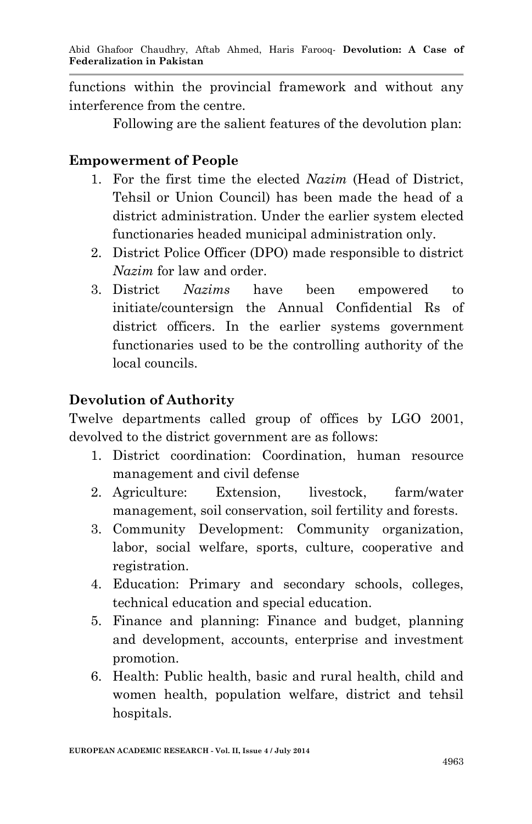functions within the provincial framework and without any interference from the centre.

Following are the salient features of the devolution plan:

#### **Empowerment of People**

- 1. For the first time the elected *Nazim* (Head of District, Tehsil or Union Council) has been made the head of a district administration. Under the earlier system elected functionaries headed municipal administration only.
- 2. District Police Officer (DPO) made responsible to district *Nazim* for law and order.
- 3. District *Nazims* have been empowered to initiate/countersign the Annual Confidential Rs of district officers. In the earlier systems government functionaries used to be the controlling authority of the local councils.

## **Devolution of Authority**

Twelve departments called group of offices by LGO 2001, devolved to the district government are as follows:

- 1. District coordination: Coordination, human resource management and civil defense
- 2. Agriculture: Extension, livestock, farm/water management, soil conservation, soil fertility and forests.
- 3. Community Development: Community organization, labor, social welfare, sports, culture, cooperative and registration.
- 4. Education: Primary and secondary schools, colleges, technical education and special education.
- 5. Finance and planning: Finance and budget, planning and development, accounts, enterprise and investment promotion.
- 6. Health: Public health, basic and rural health, child and women health, population welfare, district and tehsil hospitals.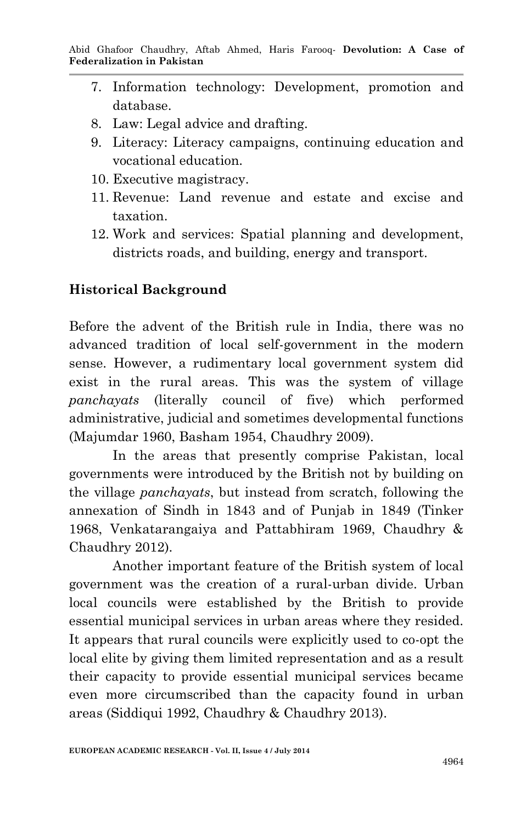- 7. Information technology: Development, promotion and database.
- 8. Law: Legal advice and drafting.
- 9. Literacy: Literacy campaigns, continuing education and vocational education.
- 10. Executive magistracy.
- 11. Revenue: Land revenue and estate and excise and taxation.
- 12. Work and services: Spatial planning and development, districts roads, and building, energy and transport.

## **Historical Background**

Before the advent of the British rule in India, there was no advanced tradition of local self-government in the modern sense. However, a rudimentary local government system did exist in the rural areas. This was the system of village *panchayats* (literally council of five) which performed administrative, judicial and sometimes developmental functions (Majumdar 1960, Basham 1954, Chaudhry 2009).

In the areas that presently comprise Pakistan, local governments were introduced by the British not by building on the village *panchayats*, but instead from scratch, following the annexation of Sindh in 1843 and of Punjab in 1849 (Tinker 1968, Venkatarangaiya and Pattabhiram 1969, Chaudhry & Chaudhry 2012).

Another important feature of the British system of local government was the creation of a rural-urban divide. Urban local councils were established by the British to provide essential municipal services in urban areas where they resided. It appears that rural councils were explicitly used to co-opt the local elite by giving them limited representation and as a result their capacity to provide essential municipal services became even more circumscribed than the capacity found in urban areas (Siddiqui 1992, Chaudhry & Chaudhry 2013).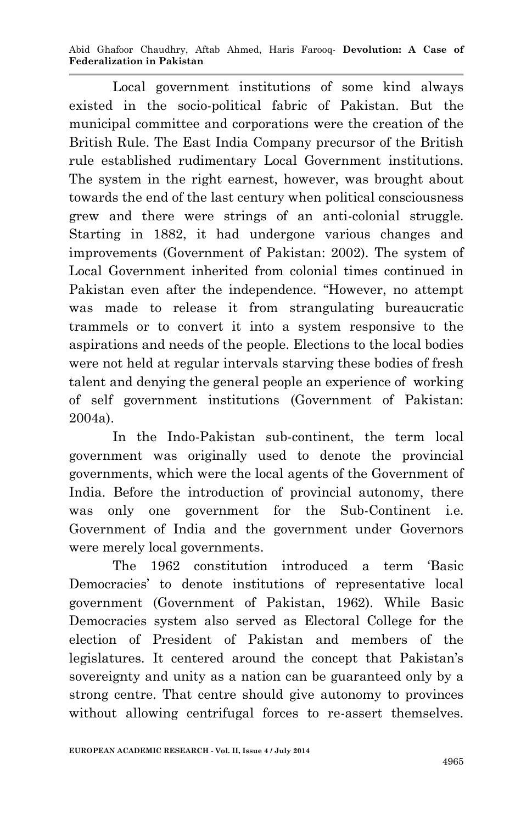Abid Ghafoor Chaudhry, Aftab Ahmed, Haris Farooq*-* **Devolution: A Case of Federalization in Pakistan**

Local government institutions of some kind always existed in the socio-political fabric of Pakistan. But the municipal committee and corporations were the creation of the British Rule. The East India Company precursor of the British rule established rudimentary Local Government institutions. The system in the right earnest, however, was brought about towards the end of the last century when political consciousness grew and there were strings of an anti-colonial struggle. Starting in 1882, it had undergone various changes and improvements (Government of Pakistan: 2002). The system of Local Government inherited from colonial times continued in Pakistan even after the independence. "However, no attempt was made to release it from strangulating bureaucratic trammels or to convert it into a system responsive to the aspirations and needs of the people. Elections to the local bodies were not held at regular intervals starving these bodies of fresh talent and denying the general people an experience of working of self government institutions (Government of Pakistan: 2004a).

In the Indo-Pakistan sub-continent, the term local government was originally used to denote the provincial governments, which were the local agents of the Government of India. Before the introduction of provincial autonomy, there was only one government for the Sub-Continent i.e. Government of India and the government under Governors were merely local governments.

The 1962 constitution introduced a term 'Basic Democracies' to denote institutions of representative local government (Government of Pakistan, 1962). While Basic Democracies system also served as Electoral College for the election of President of Pakistan and members of the legislatures. It centered around the concept that Pakistan's sovereignty and unity as a nation can be guaranteed only by a strong centre. That centre should give autonomy to provinces without allowing centrifugal forces to re-assert themselves.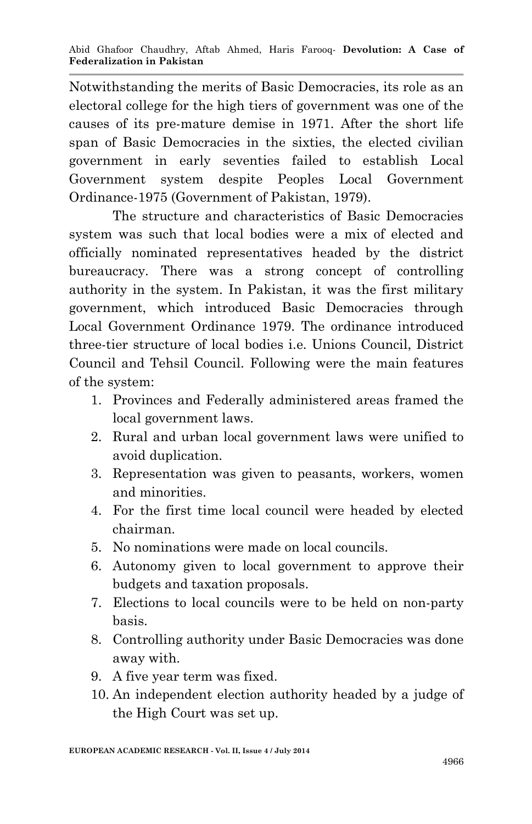Notwithstanding the merits of Basic Democracies, its role as an electoral college for the high tiers of government was one of the causes of its pre-mature demise in 1971. After the short life span of Basic Democracies in the sixties, the elected civilian government in early seventies failed to establish Local Government system despite Peoples Local Government Ordinance-1975 (Government of Pakistan, 1979).

The structure and characteristics of Basic Democracies system was such that local bodies were a mix of elected and officially nominated representatives headed by the district bureaucracy. There was a strong concept of controlling authority in the system. In Pakistan, it was the first military government, which introduced Basic Democracies through Local Government Ordinance 1979. The ordinance introduced three-tier structure of local bodies i.e. Unions Council, District Council and Tehsil Council. Following were the main features of the system:

- 1. Provinces and Federally administered areas framed the local government laws.
- 2. Rural and urban local government laws were unified to avoid duplication.
- 3. Representation was given to peasants, workers, women and minorities.
- 4. For the first time local council were headed by elected chairman.
- 5. No nominations were made on local councils.
- 6. Autonomy given to local government to approve their budgets and taxation proposals.
- 7. Elections to local councils were to be held on non-party basis.
- 8. Controlling authority under Basic Democracies was done away with.
- 9. A five year term was fixed.
- 10. An independent election authority headed by a judge of the High Court was set up.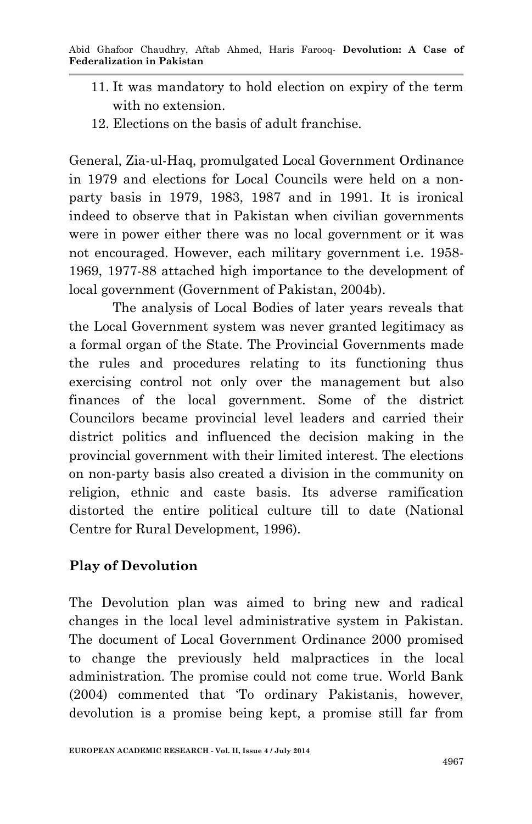- 11. It was mandatory to hold election on expiry of the term with no extension.
- 12. Elections on the basis of adult franchise.

General, Zia-ul-Haq, promulgated Local Government Ordinance in 1979 and elections for Local Councils were held on a nonparty basis in 1979, 1983, 1987 and in 1991. It is ironical indeed to observe that in Pakistan when civilian governments were in power either there was no local government or it was not encouraged. However, each military government i.e. 1958- 1969, 1977-88 attached high importance to the development of local government (Government of Pakistan, 2004b).

The analysis of Local Bodies of later years reveals that the Local Government system was never granted legitimacy as a formal organ of the State. The Provincial Governments made the rules and procedures relating to its functioning thus exercising control not only over the management but also finances of the local government. Some of the district Councilors became provincial level leaders and carried their district politics and influenced the decision making in the provincial government with their limited interest. The elections on non-party basis also created a division in the community on religion, ethnic and caste basis. Its adverse ramification distorted the entire political culture till to date (National Centre for Rural Development, 1996).

## **Play of Devolution**

The Devolution plan was aimed to bring new and radical changes in the local level administrative system in Pakistan. The document of Local Government Ordinance 2000 promised to change the previously held malpractices in the local administration. The promise could not come true. World Bank (2004) commented that 'To ordinary Pakistanis, however, devolution is a promise being kept, a promise still far from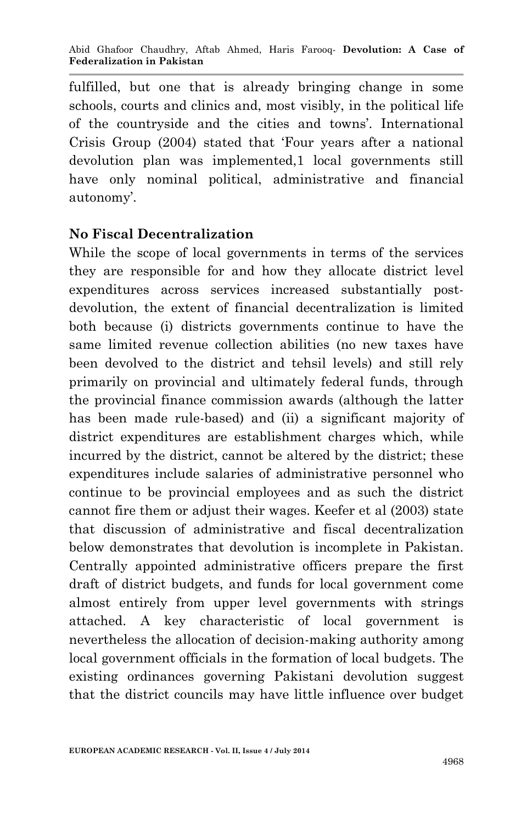fulfilled, but one that is already bringing change in some schools, courts and clinics and, most visibly, in the political life of the countryside and the cities and towns'. International Crisis Group (2004) stated that 'Four years after a national devolution plan was implemented,1 local governments still have only nominal political, administrative and financial autonomy'.

### **No Fiscal Decentralization**

While the scope of local governments in terms of the services they are responsible for and how they allocate district level expenditures across services increased substantially postdevolution, the extent of financial decentralization is limited both because (i) districts governments continue to have the same limited revenue collection abilities (no new taxes have been devolved to the district and tehsil levels) and still rely primarily on provincial and ultimately federal funds, through the provincial finance commission awards (although the latter has been made rule-based) and (ii) a significant majority of district expenditures are establishment charges which, while incurred by the district, cannot be altered by the district; these expenditures include salaries of administrative personnel who continue to be provincial employees and as such the district cannot fire them or adjust their wages. Keefer et al (2003) state that discussion of administrative and fiscal decentralization below demonstrates that devolution is incomplete in Pakistan. Centrally appointed administrative officers prepare the first draft of district budgets, and funds for local government come almost entirely from upper level governments with strings attached. A key characteristic of local government is nevertheless the allocation of decision-making authority among local government officials in the formation of local budgets. The existing ordinances governing Pakistani devolution suggest that the district councils may have little influence over budget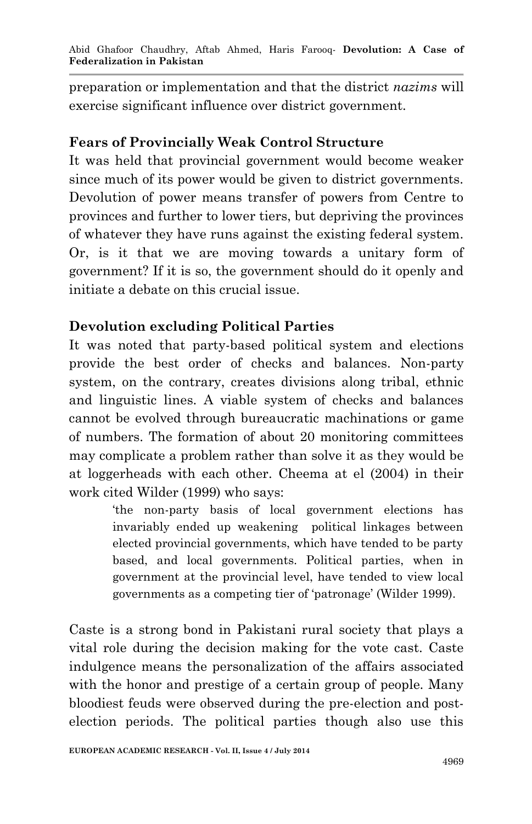preparation or implementation and that the district *nazims* will exercise significant influence over district government.

## **Fears of Provincially Weak Control Structure**

It was held that provincial government would become weaker since much of its power would be given to district governments. Devolution of power means transfer of powers from Centre to provinces and further to lower tiers, but depriving the provinces of whatever they have runs against the existing federal system. Or, is it that we are moving towards a unitary form of government? If it is so, the government should do it openly and initiate a debate on this crucial issue.

## **Devolution excluding Political Parties**

It was noted that party-based political system and elections provide the best order of checks and balances. Non-party system, on the contrary, creates divisions along tribal, ethnic and linguistic lines. A viable system of checks and balances cannot be evolved through bureaucratic machinations or game of numbers. The formation of about 20 monitoring committees may complicate a problem rather than solve it as they would be at loggerheads with each other. Cheema at el (2004) in their work cited Wilder (1999) who says:

> 'the non-party basis of local government elections has invariably ended up weakening political linkages between elected provincial governments, which have tended to be party based, and local governments. Political parties, when in government at the provincial level, have tended to view local governments as a competing tier of 'patronage' (Wilder 1999).

Caste is a strong bond in Pakistani rural society that plays a vital role during the decision making for the vote cast. Caste indulgence means the personalization of the affairs associated with the honor and prestige of a certain group of people. Many bloodiest feuds were observed during the pre-election and postelection periods. The political parties though also use this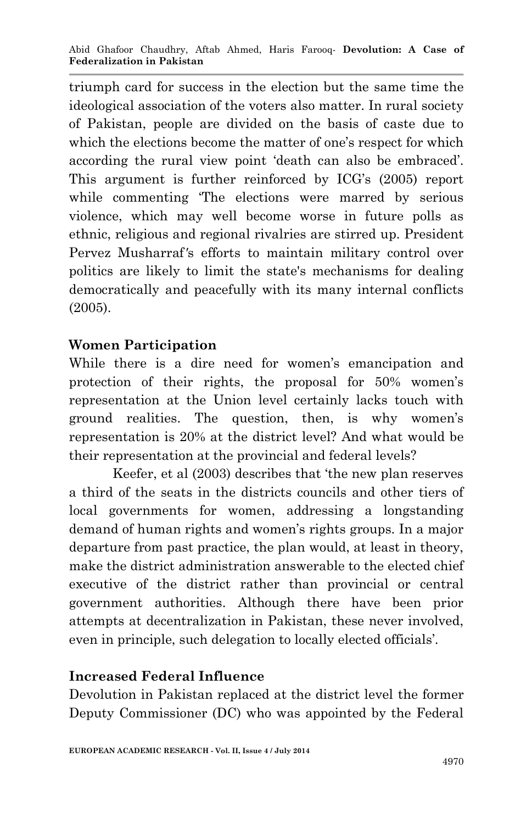triumph card for success in the election but the same time the ideological association of the voters also matter. In rural society of Pakistan, people are divided on the basis of caste due to which the elections become the matter of one's respect for which according the rural view point 'death can also be embraced'. This argument is further reinforced by ICG's (2005) report while commenting 'The elections were marred by serious violence, which may well become worse in future polls as ethnic, religious and regional rivalries are stirred up. President Pervez Musharraf*'*s efforts to maintain military control over politics are likely to limit the state's mechanisms for dealing democratically and peacefully with its many internal conflicts (2005).

## **Women Participation**

While there is a dire need for women's emancipation and protection of their rights, the proposal for 50% women's representation at the Union level certainly lacks touch with ground realities. The question, then, is why women's representation is 20% at the district level? And what would be their representation at the provincial and federal levels?

Keefer, et al (2003) describes that 'the new plan reserves a third of the seats in the districts councils and other tiers of local governments for women, addressing a longstanding demand of human rights and women's rights groups. In a major departure from past practice, the plan would, at least in theory, make the district administration answerable to the elected chief executive of the district rather than provincial or central government authorities. Although there have been prior attempts at decentralization in Pakistan, these never involved, even in principle, such delegation to locally elected officials'.

### **Increased Federal Influence**

Devolution in Pakistan replaced at the district level the former Deputy Commissioner (DC) who was appointed by the Federal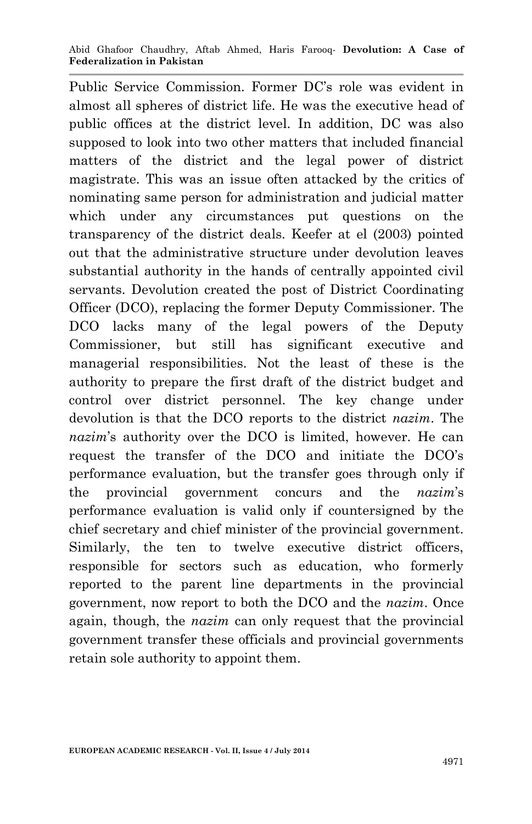Public Service Commission. Former DC's role was evident in almost all spheres of district life. He was the executive head of public offices at the district level. In addition, DC was also supposed to look into two other matters that included financial matters of the district and the legal power of district magistrate. This was an issue often attacked by the critics of nominating same person for administration and judicial matter which under any circumstances put questions on the transparency of the district deals. Keefer at el (2003) pointed out that the administrative structure under devolution leaves substantial authority in the hands of centrally appointed civil servants. Devolution created the post of District Coordinating Officer (DCO), replacing the former Deputy Commissioner. The DCO lacks many of the legal powers of the Deputy Commissioner, but still has significant executive and managerial responsibilities. Not the least of these is the authority to prepare the first draft of the district budget and control over district personnel. The key change under devolution is that the DCO reports to the district *nazim*. The *nazim*'s authority over the DCO is limited, however. He can request the transfer of the DCO and initiate the DCO's performance evaluation, but the transfer goes through only if the provincial government concurs and the *nazim*'s performance evaluation is valid only if countersigned by the chief secretary and chief minister of the provincial government. Similarly, the ten to twelve executive district officers, responsible for sectors such as education, who formerly reported to the parent line departments in the provincial government, now report to both the DCO and the *nazim*. Once again, though, the *nazim* can only request that the provincial government transfer these officials and provincial governments retain sole authority to appoint them.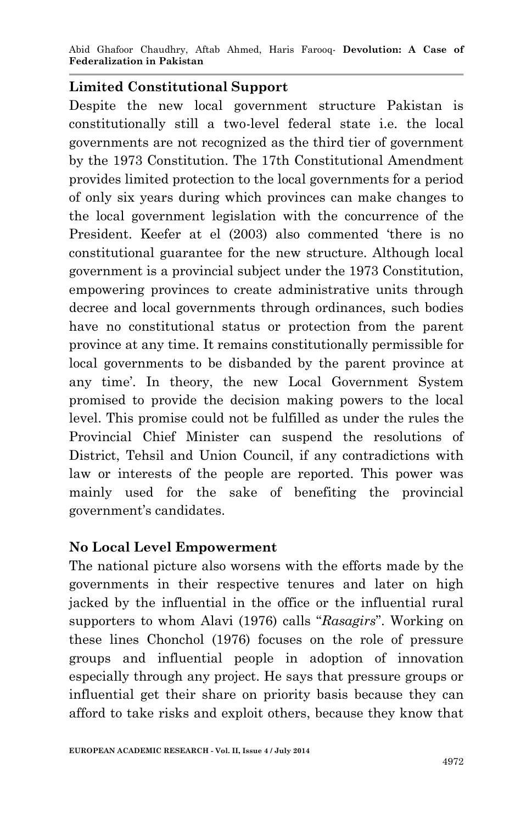Abid Ghafoor Chaudhry, Aftab Ahmed, Haris Farooq*-* **Devolution: A Case of Federalization in Pakistan**

#### **Limited Constitutional Support**

Despite the new local government structure Pakistan is constitutionally still a two-level federal state i.e. the local governments are not recognized as the third tier of government by the 1973 Constitution. The 17th Constitutional Amendment provides limited protection to the local governments for a period of only six years during which provinces can make changes to the local government legislation with the concurrence of the President. Keefer at el (2003) also commented 'there is no constitutional guarantee for the new structure. Although local government is a provincial subject under the 1973 Constitution, empowering provinces to create administrative units through decree and local governments through ordinances, such bodies have no constitutional status or protection from the parent province at any time. It remains constitutionally permissible for local governments to be disbanded by the parent province at any time'. In theory, the new Local Government System promised to provide the decision making powers to the local level. This promise could not be fulfilled as under the rules the Provincial Chief Minister can suspend the resolutions of District, Tehsil and Union Council, if any contradictions with law or interests of the people are reported. This power was mainly used for the sake of benefiting the provincial government's candidates.

#### **No Local Level Empowerment**

The national picture also worsens with the efforts made by the governments in their respective tenures and later on high jacked by the influential in the office or the influential rural supporters to whom Alavi (1976) calls "*Rasagirs*". Working on these lines Chonchol (1976) focuses on the role of pressure groups and influential people in adoption of innovation especially through any project. He says that pressure groups or influential get their share on priority basis because they can afford to take risks and exploit others, because they know that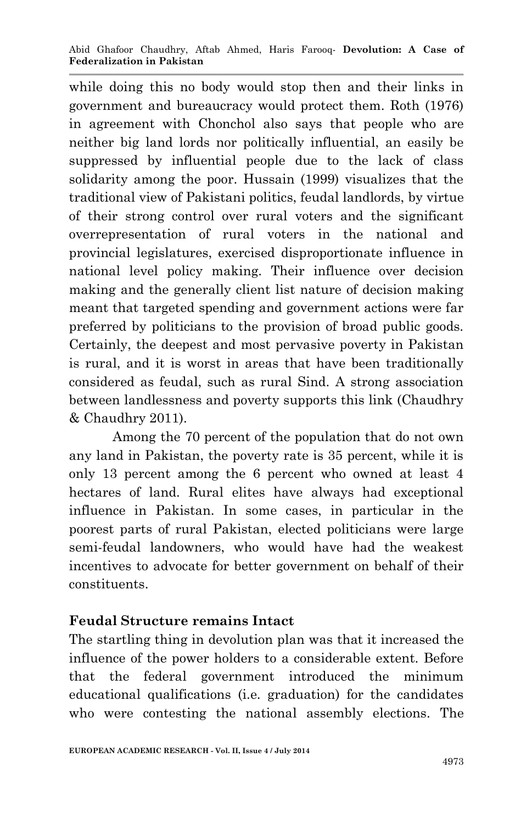while doing this no body would stop then and their links in government and bureaucracy would protect them. Roth (1976) in agreement with Chonchol also says that people who are neither big land lords nor politically influential, an easily be suppressed by influential people due to the lack of class solidarity among the poor. Hussain (1999) visualizes that the traditional view of Pakistani politics, feudal landlords, by virtue of their strong control over rural voters and the significant overrepresentation of rural voters in the national and provincial legislatures, exercised disproportionate influence in national level policy making. Their influence over decision making and the generally client list nature of decision making meant that targeted spending and government actions were far preferred by politicians to the provision of broad public goods. Certainly, the deepest and most pervasive poverty in Pakistan is rural, and it is worst in areas that have been traditionally considered as feudal, such as rural Sind. A strong association between landlessness and poverty supports this link (Chaudhry & Chaudhry 2011).

Among the 70 percent of the population that do not own any land in Pakistan, the poverty rate is 35 percent, while it is only 13 percent among the 6 percent who owned at least 4 hectares of land. Rural elites have always had exceptional influence in Pakistan. In some cases, in particular in the poorest parts of rural Pakistan, elected politicians were large semi-feudal landowners, who would have had the weakest incentives to advocate for better government on behalf of their constituents.

### **Feudal Structure remains Intact**

The startling thing in devolution plan was that it increased the influence of the power holders to a considerable extent. Before that the federal government introduced the minimum educational qualifications (i.e. graduation) for the candidates who were contesting the national assembly elections. The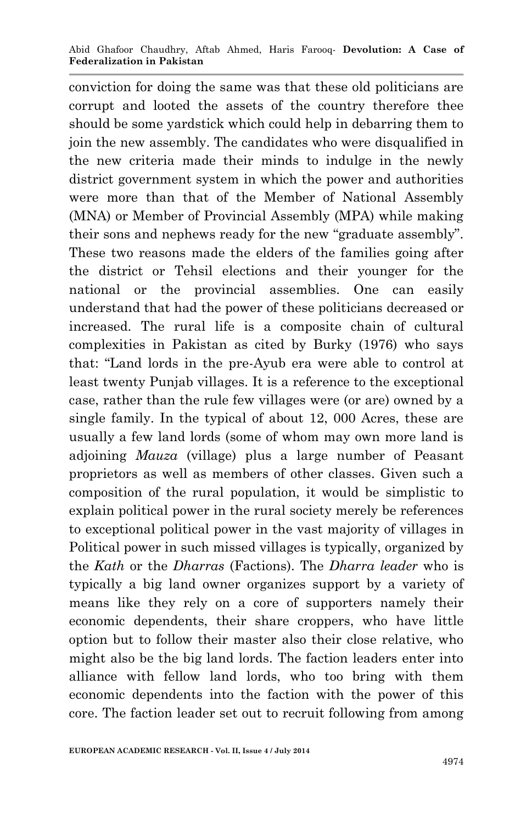conviction for doing the same was that these old politicians are corrupt and looted the assets of the country therefore thee should be some yardstick which could help in debarring them to join the new assembly. The candidates who were disqualified in the new criteria made their minds to indulge in the newly district government system in which the power and authorities were more than that of the Member of National Assembly (MNA) or Member of Provincial Assembly (MPA) while making their sons and nephews ready for the new "graduate assembly". These two reasons made the elders of the families going after the district or Tehsil elections and their younger for the national or the provincial assemblies. One can easily understand that had the power of these politicians decreased or increased. The rural life is a composite chain of cultural complexities in Pakistan as cited by Burky (1976) who says that: "Land lords in the pre-Ayub era were able to control at least twenty Punjab villages. It is a reference to the exceptional case, rather than the rule few villages were (or are) owned by a single family. In the typical of about 12, 000 Acres, these are usually a few land lords (some of whom may own more land is adjoining *Mauza* (village) plus a large number of Peasant proprietors as well as members of other classes. Given such a composition of the rural population, it would be simplistic to explain political power in the rural society merely be references to exceptional political power in the vast majority of villages in Political power in such missed villages is typically, organized by the *Kath* or the *Dharras* (Factions). The *Dharra leader* who is typically a big land owner organizes support by a variety of means like they rely on a core of supporters namely their economic dependents, their share croppers, who have little option but to follow their master also their close relative, who might also be the big land lords. The faction leaders enter into alliance with fellow land lords, who too bring with them economic dependents into the faction with the power of this core. The faction leader set out to recruit following from among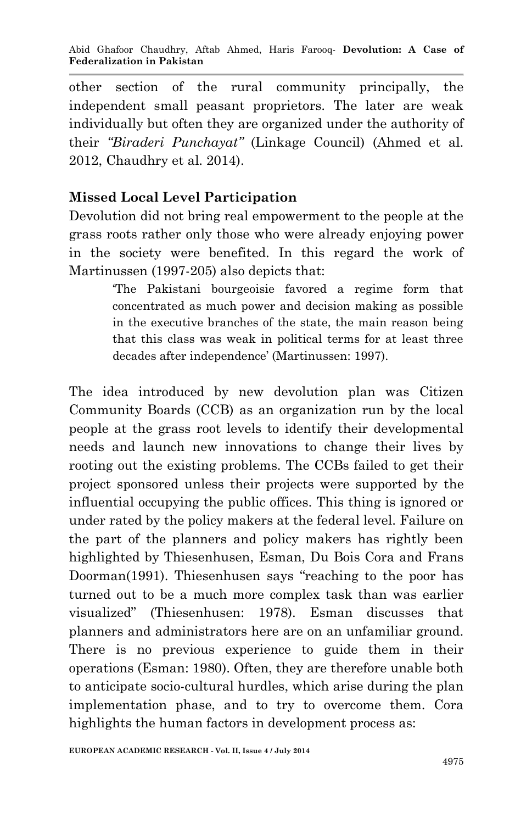other section of the rural community principally, the independent small peasant proprietors. The later are weak individually but often they are organized under the authority of their *"Biraderi Punchayat"* (Linkage Council) (Ahmed et al. 2012, Chaudhry et al. 2014).

# **Missed Local Level Participation**

Devolution did not bring real empowerment to the people at the grass roots rather only those who were already enjoying power in the society were benefited. In this regard the work of Martinussen (1997-205) also depicts that:

> 'The Pakistani bourgeoisie favored a regime form that concentrated as much power and decision making as possible in the executive branches of the state, the main reason being that this class was weak in political terms for at least three decades after independence' (Martinussen: 1997).

The idea introduced by new devolution plan was Citizen Community Boards (CCB) as an organization run by the local people at the grass root levels to identify their developmental needs and launch new innovations to change their lives by rooting out the existing problems. The CCBs failed to get their project sponsored unless their projects were supported by the influential occupying the public offices. This thing is ignored or under rated by the policy makers at the federal level. Failure on the part of the planners and policy makers has rightly been highlighted by Thiesenhusen, Esman, Du Bois Cora and Frans Doorman(1991). Thiesenhusen says "reaching to the poor has turned out to be a much more complex task than was earlier visualized" (Thiesenhusen: 1978). Esman discusses that planners and administrators here are on an unfamiliar ground. There is no previous experience to guide them in their operations (Esman: 1980). Often, they are therefore unable both to anticipate socio-cultural hurdles, which arise during the plan implementation phase, and to try to overcome them. Cora highlights the human factors in development process as: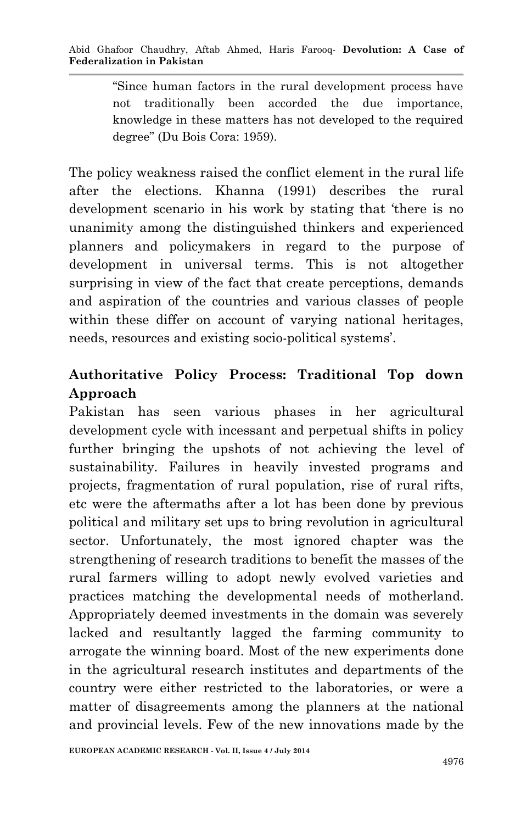"Since human factors in the rural development process have not traditionally been accorded the due importance, knowledge in these matters has not developed to the required degree" (Du Bois Cora: 1959).

The policy weakness raised the conflict element in the rural life after the elections. Khanna (1991) describes the rural development scenario in his work by stating that 'there is no unanimity among the distinguished thinkers and experienced planners and policymakers in regard to the purpose of development in universal terms. This is not altogether surprising in view of the fact that create perceptions, demands and aspiration of the countries and various classes of people within these differ on account of varying national heritages, needs, resources and existing socio-political systems'.

# **Authoritative Policy Process: Traditional Top down Approach**

Pakistan has seen various phases in her agricultural development cycle with incessant and perpetual shifts in policy further bringing the upshots of not achieving the level of sustainability. Failures in heavily invested programs and projects, fragmentation of rural population, rise of rural rifts, etc were the aftermaths after a lot has been done by previous political and military set ups to bring revolution in agricultural sector. Unfortunately, the most ignored chapter was the strengthening of research traditions to benefit the masses of the rural farmers willing to adopt newly evolved varieties and practices matching the developmental needs of motherland. Appropriately deemed investments in the domain was severely lacked and resultantly lagged the farming community to arrogate the winning board. Most of the new experiments done in the agricultural research institutes and departments of the country were either restricted to the laboratories, or were a matter of disagreements among the planners at the national and provincial levels. Few of the new innovations made by the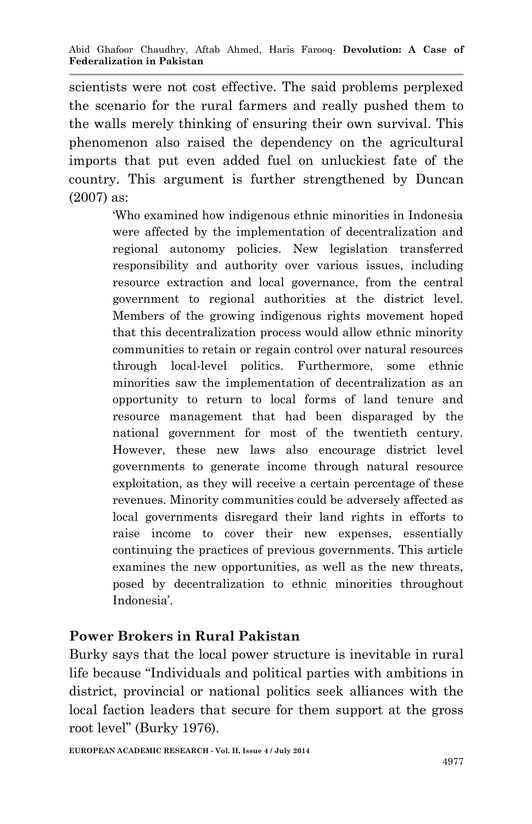scientists were not cost effective. The said problems perplexed the scenario for the rural farmers and really pushed them to the walls merely thinking of ensuring their own survival. This phenomenon also raised the dependency on the agricultural imports that put even added fuel on unluckiest fate of the country. This argument is further strengthened by Duncan (2007) as:

> 'Who examined how indigenous ethnic minorities in Indonesia were affected by the implementation of decentralization and regional autonomy policies. New legislation transferred responsibility and authority over various issues, including resource extraction and local governance, from the central government to regional authorities at the district level. Members of the growing indigenous rights movement hoped that this decentralization process would allow ethnic minority communities to retain or regain control over natural resources through local-level politics. Furthermore, some ethnic minorities saw the implementation of decentralization as an opportunity to return to local forms of land tenure and resource management that had been disparaged by the national government for most of the twentieth century. However, these new laws also encourage district level governments to generate income through natural resource exploitation, as they will receive a certain percentage of these revenues. Minority communities could be adversely affected as local governments disregard their land rights in efforts to raise income to cover their new expenses, essentially continuing the practices of previous governments. This article examines the new opportunities, as well as the new threats, posed by decentralization to ethnic minorities throughout Indonesia'.

### **Power Brokers in Rural Pakistan**

Burky says that the local power structure is inevitable in rural life because "Individuals and political parties with ambitions in district, provincial or national politics seek alliances with the local faction leaders that secure for them support at the gross root level" (Burky 1976).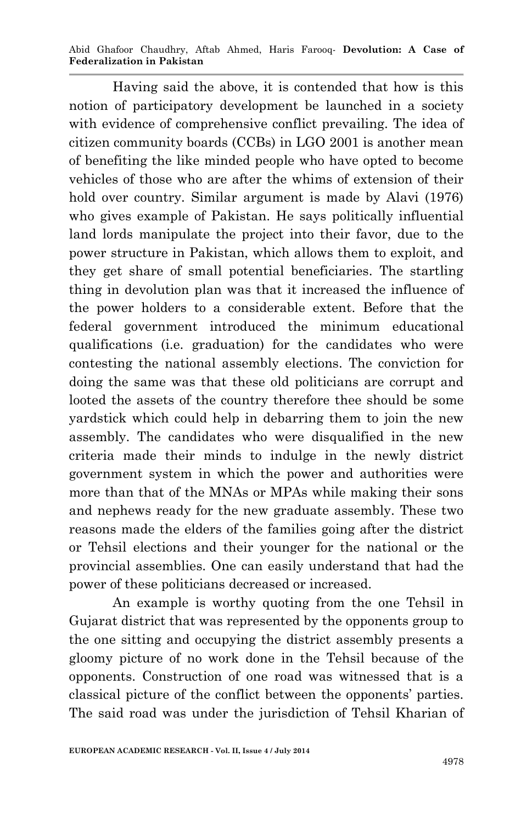Abid Ghafoor Chaudhry, Aftab Ahmed, Haris Farooq*-* **Devolution: A Case of Federalization in Pakistan**

Having said the above, it is contended that how is this notion of participatory development be launched in a society with evidence of comprehensive conflict prevailing. The idea of citizen community boards (CCBs) in LGO 2001 is another mean of benefiting the like minded people who have opted to become vehicles of those who are after the whims of extension of their hold over country. Similar argument is made by Alavi (1976) who gives example of Pakistan. He says politically influential land lords manipulate the project into their favor, due to the power structure in Pakistan, which allows them to exploit, and they get share of small potential beneficiaries. The startling thing in devolution plan was that it increased the influence of the power holders to a considerable extent. Before that the federal government introduced the minimum educational qualifications (i.e. graduation) for the candidates who were contesting the national assembly elections. The conviction for doing the same was that these old politicians are corrupt and looted the assets of the country therefore thee should be some yardstick which could help in debarring them to join the new assembly. The candidates who were disqualified in the new criteria made their minds to indulge in the newly district government system in which the power and authorities were more than that of the MNAs or MPAs while making their sons and nephews ready for the new graduate assembly. These two reasons made the elders of the families going after the district or Tehsil elections and their younger for the national or the provincial assemblies. One can easily understand that had the power of these politicians decreased or increased.

An example is worthy quoting from the one Tehsil in Gujarat district that was represented by the opponents group to the one sitting and occupying the district assembly presents a gloomy picture of no work done in the Tehsil because of the opponents. Construction of one road was witnessed that is a classical picture of the conflict between the opponents' parties. The said road was under the jurisdiction of Tehsil Kharian of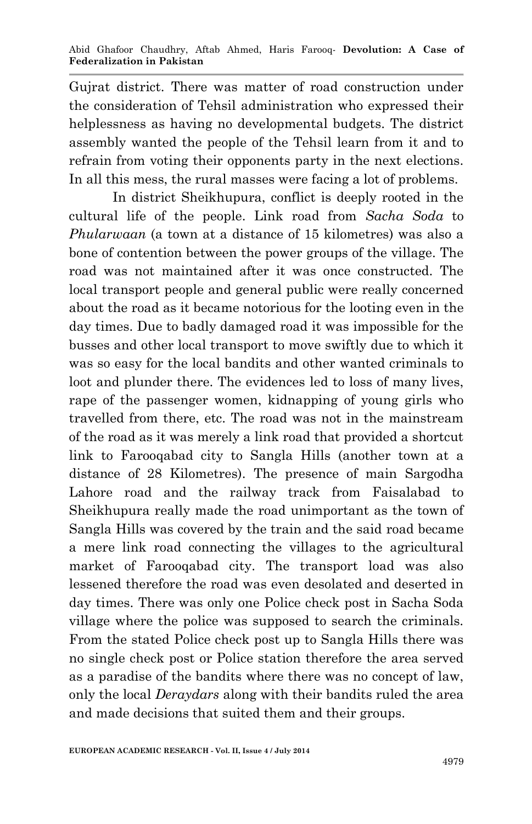Gujrat district. There was matter of road construction under the consideration of Tehsil administration who expressed their helplessness as having no developmental budgets. The district assembly wanted the people of the Tehsil learn from it and to refrain from voting their opponents party in the next elections. In all this mess, the rural masses were facing a lot of problems.

In district Sheikhupura, conflict is deeply rooted in the cultural life of the people. Link road from *Sacha Soda* to *Phularwaan* (a town at a distance of 15 kilometres) was also a bone of contention between the power groups of the village. The road was not maintained after it was once constructed. The local transport people and general public were really concerned about the road as it became notorious for the looting even in the day times. Due to badly damaged road it was impossible for the busses and other local transport to move swiftly due to which it was so easy for the local bandits and other wanted criminals to loot and plunder there. The evidences led to loss of many lives, rape of the passenger women, kidnapping of young girls who travelled from there, etc. The road was not in the mainstream of the road as it was merely a link road that provided a shortcut link to Farooqabad city to Sangla Hills (another town at a distance of 28 Kilometres). The presence of main Sargodha Lahore road and the railway track from Faisalabad to Sheikhupura really made the road unimportant as the town of Sangla Hills was covered by the train and the said road became a mere link road connecting the villages to the agricultural market of Farooqabad city. The transport load was also lessened therefore the road was even desolated and deserted in day times. There was only one Police check post in Sacha Soda village where the police was supposed to search the criminals. From the stated Police check post up to Sangla Hills there was no single check post or Police station therefore the area served as a paradise of the bandits where there was no concept of law, only the local *Deraydars* along with their bandits ruled the area and made decisions that suited them and their groups.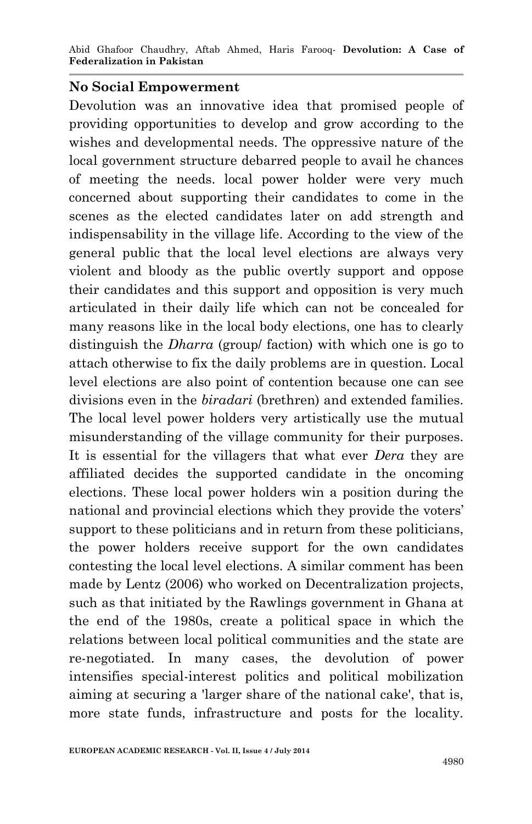Abid Ghafoor Chaudhry, Aftab Ahmed, Haris Farooq*-* **Devolution: A Case of Federalization in Pakistan**

#### **No Social Empowerment**

Devolution was an innovative idea that promised people of providing opportunities to develop and grow according to the wishes and developmental needs. The oppressive nature of the local government structure debarred people to avail he chances of meeting the needs. local power holder were very much concerned about supporting their candidates to come in the scenes as the elected candidates later on add strength and indispensability in the village life. According to the view of the general public that the local level elections are always very violent and bloody as the public overtly support and oppose their candidates and this support and opposition is very much articulated in their daily life which can not be concealed for many reasons like in the local body elections, one has to clearly distinguish the *Dharra* (group/ faction) with which one is go to attach otherwise to fix the daily problems are in question. Local level elections are also point of contention because one can see divisions even in the *biradari* (brethren) and extended families. The local level power holders very artistically use the mutual misunderstanding of the village community for their purposes. It is essential for the villagers that what ever *Dera* they are affiliated decides the supported candidate in the oncoming elections. These local power holders win a position during the national and provincial elections which they provide the voters' support to these politicians and in return from these politicians, the power holders receive support for the own candidates contesting the local level elections. A similar comment has been made by Lentz (2006) who worked on Decentralization projects, such as that initiated by the Rawlings government in Ghana at the end of the 1980s, create a political space in which the relations between local political communities and the state are re-negotiated. In many cases, the devolution of power intensifies special-interest politics and political mobilization aiming at securing a 'larger share of the national cake', that is, more state funds, infrastructure and posts for the locality.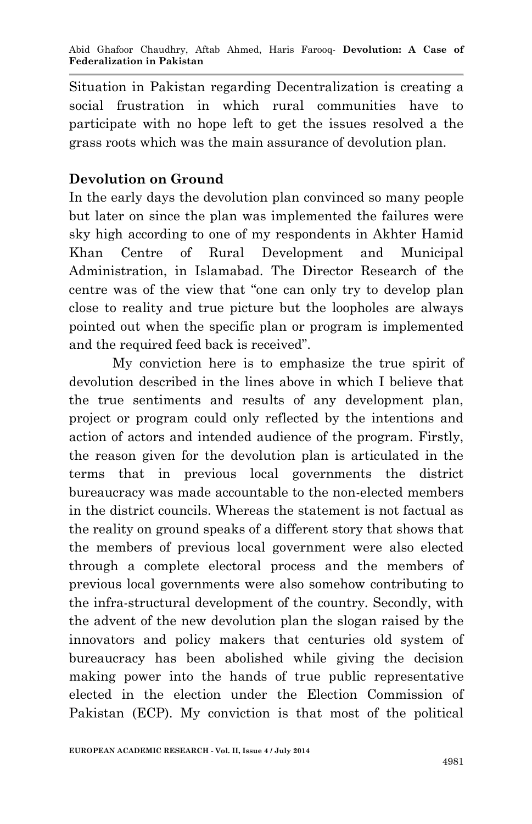Situation in Pakistan regarding Decentralization is creating a social frustration in which rural communities have to participate with no hope left to get the issues resolved a the grass roots which was the main assurance of devolution plan.

# **Devolution on Ground**

In the early days the devolution plan convinced so many people but later on since the plan was implemented the failures were sky high according to one of my respondents in Akhter Hamid Khan Centre of Rural Development and Municipal Administration, in Islamabad. The Director Research of the centre was of the view that "one can only try to develop plan close to reality and true picture but the loopholes are always pointed out when the specific plan or program is implemented and the required feed back is received".

My conviction here is to emphasize the true spirit of devolution described in the lines above in which I believe that the true sentiments and results of any development plan, project or program could only reflected by the intentions and action of actors and intended audience of the program. Firstly, the reason given for the devolution plan is articulated in the terms that in previous local governments the district bureaucracy was made accountable to the non-elected members in the district councils. Whereas the statement is not factual as the reality on ground speaks of a different story that shows that the members of previous local government were also elected through a complete electoral process and the members of previous local governments were also somehow contributing to the infra-structural development of the country. Secondly, with the advent of the new devolution plan the slogan raised by the innovators and policy makers that centuries old system of bureaucracy has been abolished while giving the decision making power into the hands of true public representative elected in the election under the Election Commission of Pakistan (ECP). My conviction is that most of the political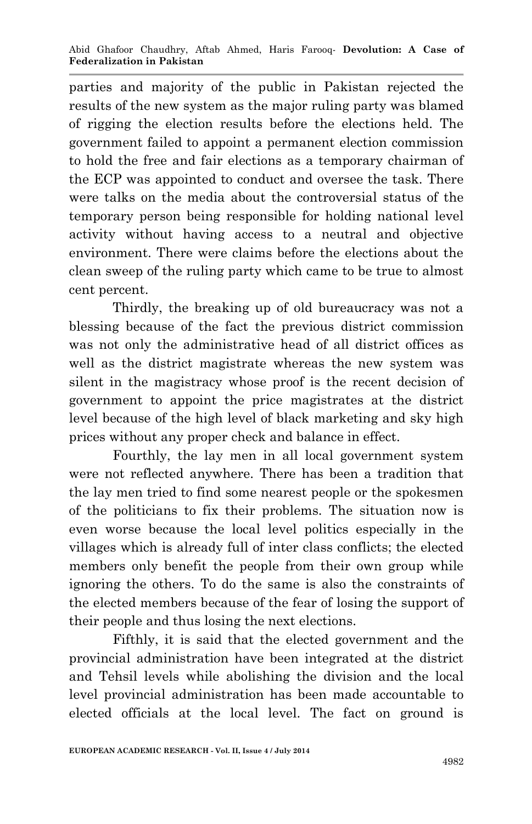parties and majority of the public in Pakistan rejected the results of the new system as the major ruling party was blamed of rigging the election results before the elections held. The government failed to appoint a permanent election commission to hold the free and fair elections as a temporary chairman of the ECP was appointed to conduct and oversee the task. There were talks on the media about the controversial status of the temporary person being responsible for holding national level activity without having access to a neutral and objective environment. There were claims before the elections about the clean sweep of the ruling party which came to be true to almost cent percent.

Thirdly, the breaking up of old bureaucracy was not a blessing because of the fact the previous district commission was not only the administrative head of all district offices as well as the district magistrate whereas the new system was silent in the magistracy whose proof is the recent decision of government to appoint the price magistrates at the district level because of the high level of black marketing and sky high prices without any proper check and balance in effect.

Fourthly, the lay men in all local government system were not reflected anywhere. There has been a tradition that the lay men tried to find some nearest people or the spokesmen of the politicians to fix their problems. The situation now is even worse because the local level politics especially in the villages which is already full of inter class conflicts; the elected members only benefit the people from their own group while ignoring the others. To do the same is also the constraints of the elected members because of the fear of losing the support of their people and thus losing the next elections.

Fifthly, it is said that the elected government and the provincial administration have been integrated at the district and Tehsil levels while abolishing the division and the local level provincial administration has been made accountable to elected officials at the local level. The fact on ground is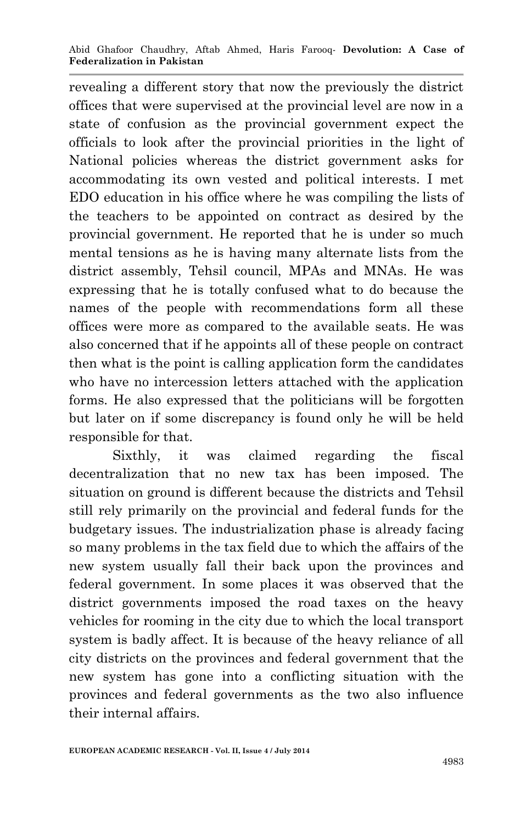revealing a different story that now the previously the district offices that were supervised at the provincial level are now in a state of confusion as the provincial government expect the officials to look after the provincial priorities in the light of National policies whereas the district government asks for accommodating its own vested and political interests. I met EDO education in his office where he was compiling the lists of the teachers to be appointed on contract as desired by the provincial government. He reported that he is under so much mental tensions as he is having many alternate lists from the district assembly, Tehsil council, MPAs and MNAs. He was expressing that he is totally confused what to do because the names of the people with recommendations form all these offices were more as compared to the available seats. He was also concerned that if he appoints all of these people on contract then what is the point is calling application form the candidates who have no intercession letters attached with the application forms. He also expressed that the politicians will be forgotten but later on if some discrepancy is found only he will be held responsible for that.

Sixthly, it was claimed regarding the fiscal decentralization that no new tax has been imposed. The situation on ground is different because the districts and Tehsil still rely primarily on the provincial and federal funds for the budgetary issues. The industrialization phase is already facing so many problems in the tax field due to which the affairs of the new system usually fall their back upon the provinces and federal government. In some places it was observed that the district governments imposed the road taxes on the heavy vehicles for rooming in the city due to which the local transport system is badly affect. It is because of the heavy reliance of all city districts on the provinces and federal government that the new system has gone into a conflicting situation with the provinces and federal governments as the two also influence their internal affairs.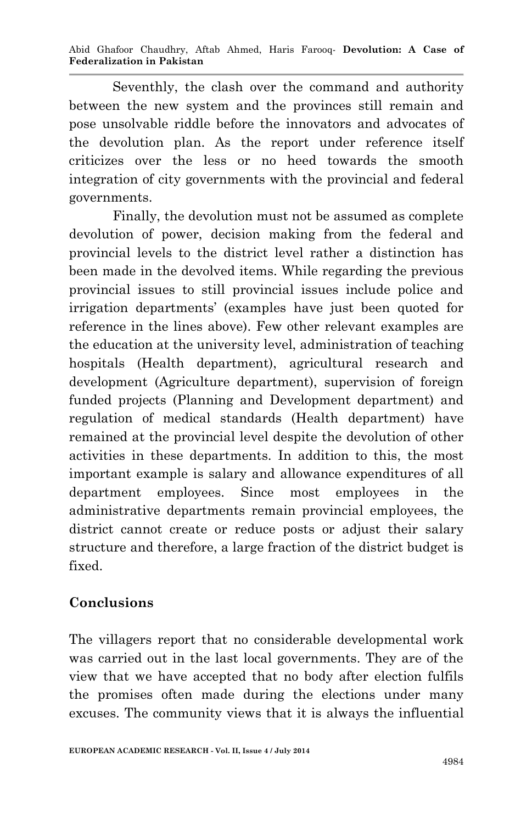Abid Ghafoor Chaudhry, Aftab Ahmed, Haris Farooq*-* **Devolution: A Case of Federalization in Pakistan**

Seventhly, the clash over the command and authority between the new system and the provinces still remain and pose unsolvable riddle before the innovators and advocates of the devolution plan. As the report under reference itself criticizes over the less or no heed towards the smooth integration of city governments with the provincial and federal governments.

Finally, the devolution must not be assumed as complete devolution of power, decision making from the federal and provincial levels to the district level rather a distinction has been made in the devolved items. While regarding the previous provincial issues to still provincial issues include police and irrigation departments' (examples have just been quoted for reference in the lines above). Few other relevant examples are the education at the university level, administration of teaching hospitals (Health department), agricultural research and development (Agriculture department), supervision of foreign funded projects (Planning and Development department) and regulation of medical standards (Health department) have remained at the provincial level despite the devolution of other activities in these departments. In addition to this, the most important example is salary and allowance expenditures of all department employees. Since most employees in the administrative departments remain provincial employees, the district cannot create or reduce posts or adjust their salary structure and therefore, a large fraction of the district budget is fixed.

### **Conclusions**

The villagers report that no considerable developmental work was carried out in the last local governments. They are of the view that we have accepted that no body after election fulfils the promises often made during the elections under many excuses. The community views that it is always the influential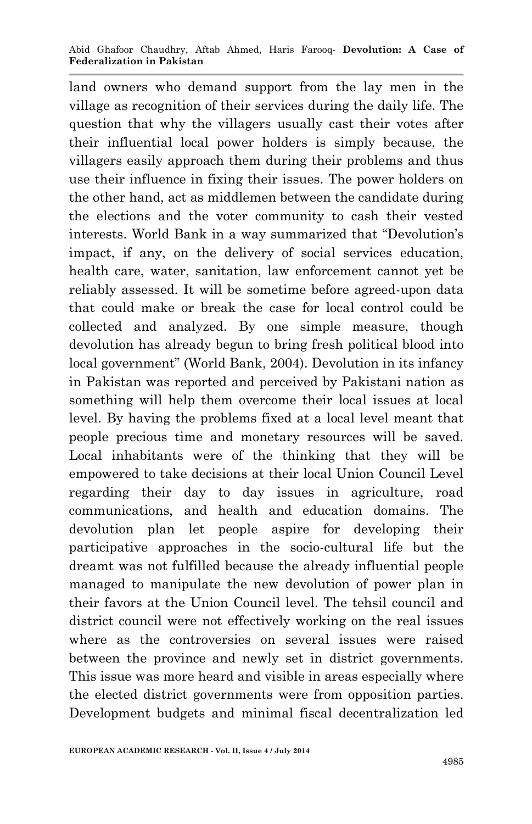land owners who demand support from the lay men in the village as recognition of their services during the daily life. The question that why the villagers usually cast their votes after their influential local power holders is simply because, the villagers easily approach them during their problems and thus use their influence in fixing their issues. The power holders on the other hand, act as middlemen between the candidate during the elections and the voter community to cash their vested interests. World Bank in a way summarized that "Devolution's impact, if any, on the delivery of social services education, health care, water, sanitation, law enforcement cannot yet be reliably assessed. It will be sometime before agreed-upon data that could make or break the case for local control could be collected and analyzed. By one simple measure, though devolution has already begun to bring fresh political blood into local government" (World Bank, 2004). Devolution in its infancy in Pakistan was reported and perceived by Pakistani nation as something will help them overcome their local issues at local level. By having the problems fixed at a local level meant that people precious time and monetary resources will be saved. Local inhabitants were of the thinking that they will be empowered to take decisions at their local Union Council Level regarding their day to day issues in agriculture, road communications, and health and education domains. The devolution plan let people aspire for developing their participative approaches in the socio-cultural life but the dreamt was not fulfilled because the already influential people managed to manipulate the new devolution of power plan in their favors at the Union Council level. The tehsil council and district council were not effectively working on the real issues where as the controversies on several issues were raised between the province and newly set in district governments. This issue was more heard and visible in areas especially where the elected district governments were from opposition parties. Development budgets and minimal fiscal decentralization led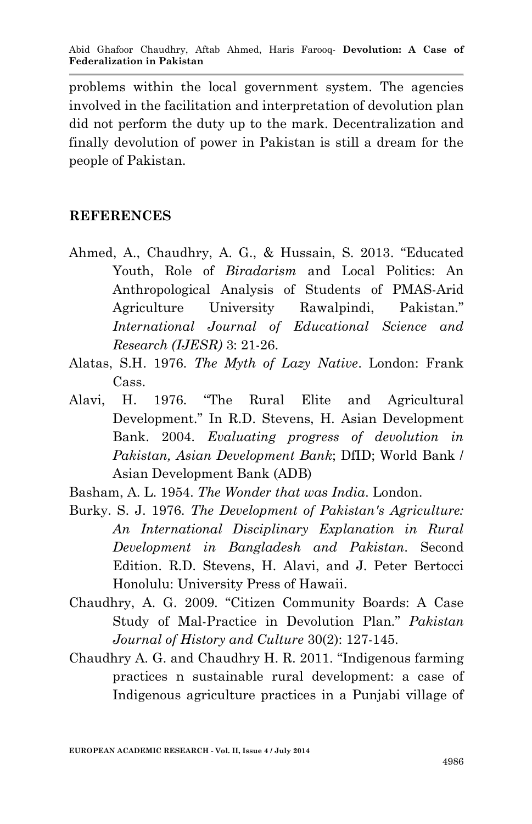problems within the local government system. The agencies involved in the facilitation and interpretation of devolution plan did not perform the duty up to the mark. Decentralization and finally devolution of power in Pakistan is still a dream for the people of Pakistan.

### **REFERENCES**

- Ahmed, A., Chaudhry, A. G., & Hussain, S. 2013. "Educated Youth, Role of *Biradarism* and Local Politics: An Anthropological Analysis of Students of PMAS-Arid Agriculture University Rawalpindi, Pakistan." *International Journal of Educational Science and Research (IJESR)* 3: 21-26.
- Alatas, S.H. 1976. *The Myth of Lazy Native*. London: Frank Cass.
- Alavi, H. 1976. "The Rural Elite and Agricultural Development." In R.D. Stevens, H. Asian Development Bank. 2004. *Evaluating progress of devolution in Pakistan, Asian Development Bank*; DfID; World Bank / Asian Development Bank (ADB)
- Basham, A. L. 1954. *The Wonder that was India*. London.
- Burky. S. J. 1976. *The Development of Pakistan's Agriculture: An International Disciplinary Explanation in Rural Development in Bangladesh and Pakistan*. Second Edition. R.D. Stevens, H. Alavi, and J. Peter Bertocci Honolulu: University Press of Hawaii.
- Chaudhry, A. G. 2009. "Citizen Community Boards: A Case Study of Mal-Practice in Devolution Plan." *Pakistan Journal of History and Culture* 30(2): 127-145.
- Chaudhry A. G. and Chaudhry H. R. 2011. "Indigenous farming practices n sustainable rural development: a case of Indigenous agriculture practices in a Punjabi village of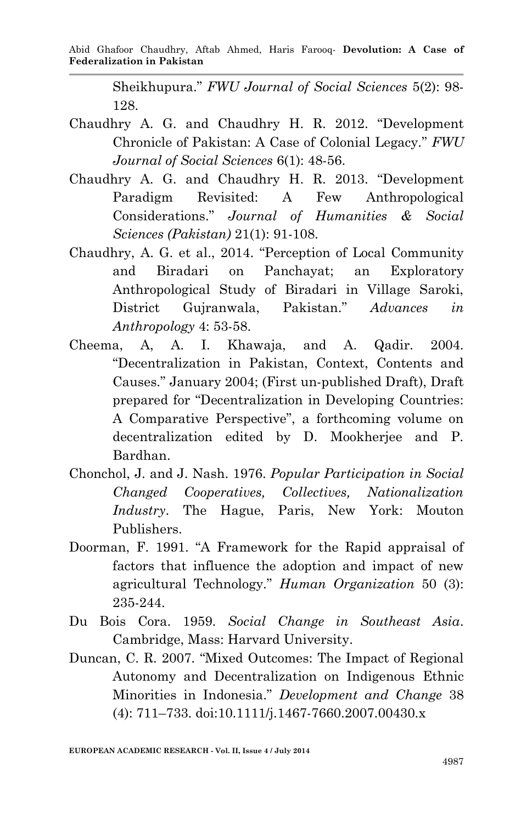Sheikhupura." *FWU Journal of Social Sciences* 5(2): 98- 128.

- Chaudhry A. G. and Chaudhry H. R. 2012. "Development Chronicle of Pakistan: A Case of Colonial Legacy." *FWU Journal of Social Sciences* 6(1): 48-56.
- Chaudhry A. G. and Chaudhry H. R. 2013. "Development Paradigm Revisited: A Few Anthropological Considerations." *Journal of Humanities & Social Sciences (Pakistan)* 21(1): 91-108.
- Chaudhry, A. G. et al., 2014. "Perception of Local Community and Biradari on Panchayat; an Exploratory Anthropological Study of Biradari in Village Saroki, District Gujranwala, Pakistan." *Advances in Anthropology* 4: 53-58.
- Cheema, A, A. I. Khawaja, and A. Qadir. 2004. "Decentralization in Pakistan, Context, Contents and Causes." January 2004; (First un-published Draft), Draft prepared for "Decentralization in Developing Countries: A Comparative Perspective", a forthcoming volume on decentralization edited by D. Mookherjee and P. Bardhan.
- Chonchol, J. and J. Nash. 1976. *Popular Participation in Social Changed Cooperatives, Collectives, Nationalization Industry*. The Hague, Paris, New York: Mouton Publishers.
- Doorman, F. 1991. "A Framework for the Rapid appraisal of factors that influence the adoption and impact of new agricultural Technology." *Human Organization* 50 (3): 235-244.
- Du Bois Cora. 1959. *Social Change in Southeast Asia*. Cambridge, Mass: Harvard University.
- Duncan, C. R. 2007. "Mixed Outcomes: The Impact of Regional Autonomy and Decentralization on Indigenous Ethnic Minorities in Indonesia." *Development and Change* 38 (4): 711–733. doi:10.1111/j.1467-7660.2007.00430.x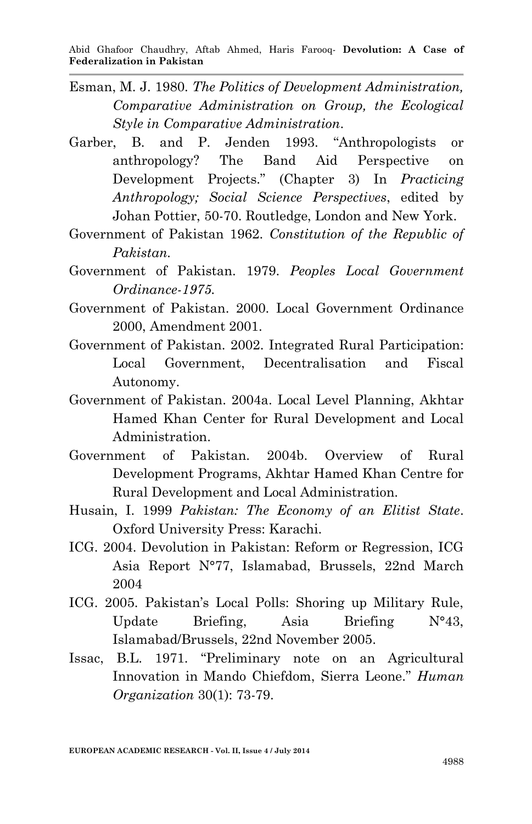- Esman, M. J. 1980. *The Politics of Development Administration, Comparative Administration on Group, the Ecological Style in Comparative Administration*.
- Garber, B. and P. Jenden 1993. "Anthropologists or anthropology? The Band Aid Perspective on Development Projects." (Chapter 3) In *Practicing Anthropology; Social Science Perspectives*, edited by Johan Pottier, 50-70. Routledge, London and New York.
- Government of Pakistan 1962. *Constitution of the Republic of Pakistan.*
- Government of Pakistan. 1979. *Peoples Local Government Ordinance-1975.*
- Government of Pakistan. 2000. Local Government Ordinance 2000, Amendment 2001.
- Government of Pakistan. 2002. Integrated Rural Participation: Local Government, Decentralisation and Fiscal Autonomy.
- Government of Pakistan. 2004a. Local Level Planning, Akhtar Hamed Khan Center for Rural Development and Local Administration.
- Government of Pakistan. 2004b. Overview of Rural Development Programs, Akhtar Hamed Khan Centre for Rural Development and Local Administration.
- Husain, I. 1999 *Pakistan: The Economy of an Elitist State*. Oxford University Press: Karachi.
- ICG. 2004. Devolution in Pakistan: Reform or Regression, ICG Asia Report N°77, Islamabad, Brussels, 22nd March 2004
- ICG. 2005. Pakistan's Local Polls: Shoring up Military Rule, Update Briefing, Asia Briefing N°43, Islamabad/Brussels, 22nd November 2005.
- Issac, B.L. 1971. "Preliminary note on an Agricultural Innovation in Mando Chiefdom, Sierra Leone." *Human Organization* 30(1): 73-79.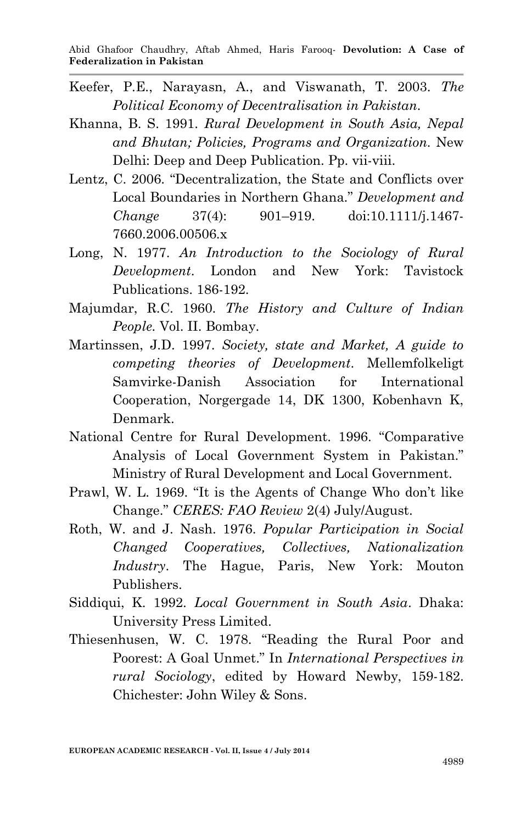- Keefer, P.E., Narayasn, A., and Viswanath, T. 2003. *The Political Economy of Decentralisation in Pakistan.*
- Khanna, B. S. 1991. *Rural Development in South Asia, Nepal and Bhutan; Policies, Programs and Organization.* New Delhi: Deep and Deep Publication. Pp. vii-viii.
- Lentz, C. 2006. "Decentralization, the State and Conflicts over Local Boundaries in Northern Ghana." *Development and Change* 37(4): 901–919. doi:10.1111/j.1467- 7660.2006.00506.x
- Long, N. 1977. *An Introduction to the Sociology of Rural Development*. London and New York: Tavistock Publications. 186-192.
- Majumdar, R.C. 1960. *The History and Culture of Indian People.* Vol. II. Bombay.
- Martinssen, J.D. 1997. *Society, state and Market, A guide to competing theories of Development*. Mellemfolkeligt Samvirke-Danish Association for International Cooperation, Norgergade 14, DK 1300, Kobenhavn K, Denmark.
- National Centre for Rural Development. 1996. "Comparative Analysis of Local Government System in Pakistan." Ministry of Rural Development and Local Government.
- Prawl, W. L. 1969. "It is the Agents of Change Who don't like Change." *CERES: FAO Review* 2(4) July/August.
- Roth, W. and J. Nash. 1976. *Popular Participation in Social Changed Cooperatives, Collectives, Nationalization Industry*. The Hague, Paris, New York: Mouton Publishers.
- Siddiqui, K. 1992. *Local Government in South Asia*. Dhaka: University Press Limited.
- Thiesenhusen, W. C. 1978. "Reading the Rural Poor and Poorest: A Goal Unmet." In *International Perspectives in rural Sociology*, edited by Howard Newby, 159-182. Chichester: John Wiley & Sons.